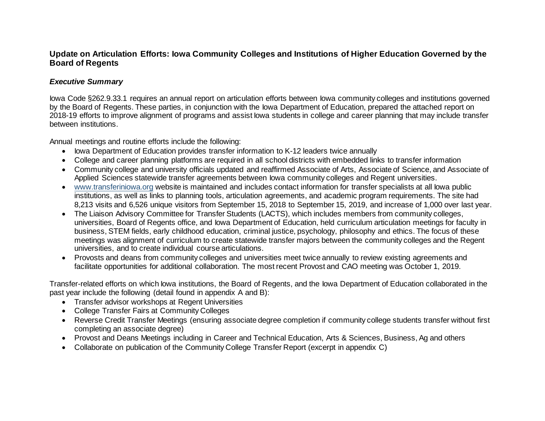## **Update on Articulation Efforts: Iowa Community Colleges and Institutions of Higher Education Governed by the Board of Regents**

#### *Executive Summary*

Iowa Code §262.9.33.1 requires an annual report on articulation efforts between Iowa community colleges and institutions governed by the Board of Regents. These parties, in conjunction with the Iowa Department of Education, prepared the attached report on 2018-19 efforts to improve alignment of programs and assist Iowa students in college and career planning that may include transfer between institutions.

Annual meetings and routine efforts include the following:

- Iowa Department of Education provides transfer information to K-12 leaders twice annually
- College and career planning platforms are required in all school districts with embedded links to transfer information
- Community college and university officials updated and reaffirmed Associate of Arts, Associate of Science, and Associate of Applied Sciences statewide transfer agreements between Iowa community colleges and Regent universities.
- [www.transferiniowa.org](http://www.transferiniowa.org/) website is maintained and includes contact information for transfer specialists at all Iowa public institutions, as well as links to planning tools, articulation agreements, and academic program requirements. The site had 8,213 visits and 6,526 unique visitors from September 15, 2018 to September 15, 2019, and increase of 1,000 over last year.
- The Liaison Advisory Committee for Transfer Students (LACTS), which includes members from community colleges, universities, Board of Regents office, and Iowa Department of Education, held curriculum articulation meetings for faculty in business, STEM fields, early childhood education, criminal justice, psychology, philosophy and ethics. The focus of these meetings was alignment of curriculum to create statewide transfer majors between the community colleges and the Regent universities, and to create individual course articulations.
- Provosts and deans from community colleges and universities meet twice annually to review existing agreements and facilitate opportunities for additional collaboration. The most recent Provost and CAO meeting was October 1, 2019.

Transfer-related efforts on which Iowa institutions, the Board of Regents, and the Iowa Department of Education collaborated in the past year include the following (detail found in appendix A and B):

- Transfer advisor workshops at Regent Universities
- College Transfer Fairs at Community Colleges
- Reverse Credit Transfer Meetings (ensuring associate degree completion if community college students transfer without first completing an associate degree)
- Provost and Deans Meetings including in Career and Technical Education, Arts & Sciences, Business, Ag and others
- Collaborate on publication of the Community College Transfer Report (excerpt in appendix C)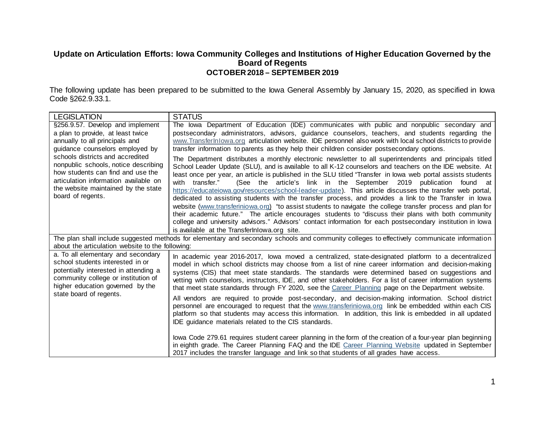## **Update on Articulation Efforts: Iowa Community Colleges and Institutions of Higher Education Governed by the Board of Regents OCTOBER 2018 – SEPTEMBER 2019**

The following update has been prepared to be submitted to the Iowa General Assembly by January 15, 2020, as specified in Iowa Code §262.9.33.1.

| <b>LEGISLATION</b>                                                           | <b>STATUS</b>                                                                                                                                                                                                  |  |  |  |  |  |
|------------------------------------------------------------------------------|----------------------------------------------------------------------------------------------------------------------------------------------------------------------------------------------------------------|--|--|--|--|--|
| §256.9.57. Develop and implement                                             | The lowa Department of Education (IDE) communicates with public and nonpublic secondary and                                                                                                                    |  |  |  |  |  |
| a plan to provide, at least twice                                            | postsecondary administrators, advisors, guidance counselors, teachers, and students regarding the                                                                                                              |  |  |  |  |  |
| annually to all principals and<br>guidance counselors employed by            | www.TransferInlowa.org articulation website. IDE personnel also work with local school districts to provide<br>transfer information to parents as they help their children consider postsecondary options.     |  |  |  |  |  |
| schools districts and accredited                                             | The Department distributes a monthly electronic newsletter to all superintendents and principals titled                                                                                                        |  |  |  |  |  |
| nonpublic schools, notice describing                                         | School Leader Update (SLU), and is available to all K-12 counselors and teachers on the IDE website. At                                                                                                        |  |  |  |  |  |
| how students can find and use the                                            | least once per year, an article is published in the SLU titled "Transfer in lowa web portal assists students                                                                                                   |  |  |  |  |  |
| articulation information available on<br>the website maintained by the state | (See the article's link in the September 2019 publication found at<br>with transfer."<br>https://educateiowa.gov/resources/school-leader-update). This article discusses the transfer web portal,              |  |  |  |  |  |
| board of regents.                                                            | dedicated to assisting students with the transfer process, and provides a link to the Transfer in lowa                                                                                                         |  |  |  |  |  |
|                                                                              | website (www.transferiniowa.org) "to assist students to navigate the college transfer process and plan for                                                                                                     |  |  |  |  |  |
|                                                                              | their academic future." The article encourages students to "discuss their plans with both community                                                                                                            |  |  |  |  |  |
|                                                                              | college and university advisors." Advisors' contact information for each postsecondary institution in lowa<br>is available at the TransferInlowa.org site.                                                     |  |  |  |  |  |
|                                                                              | The plan shall include suggested methods for elementary and secondary schools and community colleges to effectively communicate information                                                                    |  |  |  |  |  |
| about the articulation website to the following:                             |                                                                                                                                                                                                                |  |  |  |  |  |
| a. To all elementary and secondary                                           | In academic year 2016-2017, lowa moved a centralized, state-designated platform to a decentralized                                                                                                             |  |  |  |  |  |
| school students interested in or<br>potentially interested in attending a    | model in which school districts may choose from a list of nine career information and decision-making                                                                                                          |  |  |  |  |  |
| community college or institution of                                          | systems (CIS) that meet state standards. The standards were determined based on suggestions and<br>vetting with counselors, instructors, IDE, and other stakeholders. For a list of career information systems |  |  |  |  |  |
| higher education governed by the                                             | that meet state standards through FY 2020, see the Career Planning page on the Department website.                                                                                                             |  |  |  |  |  |
| state board of regents.                                                      | All vendors are required to provide post-secondary, and decision-making information. School district                                                                                                           |  |  |  |  |  |
|                                                                              | personnel are encouraged to request that the www.transferiniowa.org link be embedded within each CIS                                                                                                           |  |  |  |  |  |
|                                                                              | platform so that students may access this information. In addition, this link is embedded in all updated                                                                                                       |  |  |  |  |  |
|                                                                              | IDE guidance materials related to the CIS standards.                                                                                                                                                           |  |  |  |  |  |
|                                                                              | lowa Code 279.61 requires student career planning in the form of the creation of a four-year plan beginning                                                                                                    |  |  |  |  |  |
|                                                                              | in eighth grade. The Career Planning FAQ and the IDE Career Planning Website updated in September                                                                                                              |  |  |  |  |  |
|                                                                              | 2017 includes the transfer language and link so that students of all grades have access.                                                                                                                       |  |  |  |  |  |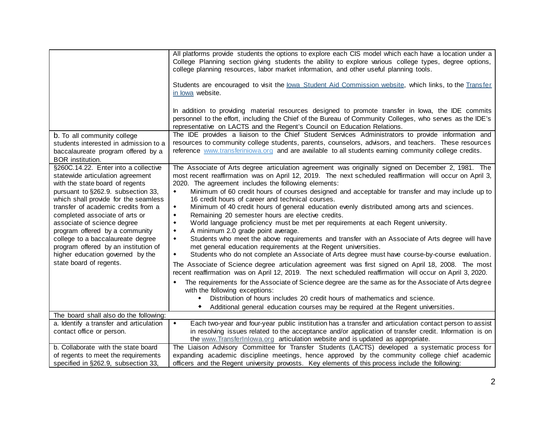|                                                                                                                                          | All platforms provide students the options to explore each CIS model which each have a location under a<br>College Planning section giving students the ability to explore various college types, degree options,<br>college planning resources, labor market information, and other useful planning tools.          |  |  |  |  |  |  |  |  |
|------------------------------------------------------------------------------------------------------------------------------------------|----------------------------------------------------------------------------------------------------------------------------------------------------------------------------------------------------------------------------------------------------------------------------------------------------------------------|--|--|--|--|--|--|--|--|
|                                                                                                                                          | Students are encouraged to visit the lowa Student Aid Commission website, which links, to the Transfer<br>in lowa website.                                                                                                                                                                                           |  |  |  |  |  |  |  |  |
|                                                                                                                                          | In addition to providing material resources designed to promote transfer in lowa, the IDE commits<br>personnel to the effort, including the Chief of the Bureau of Community Colleges, who serves as the IDE's<br>representative on LACTS and the Regent's Council on Education Relations.                           |  |  |  |  |  |  |  |  |
| b. To all community college<br>students interested in admission to a<br>baccalaureate program offered by a<br>BOR institution.           | The IDE provides a liaison to the Chief Student Services Administrators to provide information and<br>resources to community college students, parents, counselors, advisors, and teachers. These resources<br>reference www.transferiniowa.org and are available to all students earning community college credits. |  |  |  |  |  |  |  |  |
| §260C.14.22. Enter into a collective<br>statewide articulation agreement<br>with the state board of regents                              | The Associate of Arts degree articulation agreement was originally signed on December 2, 1981. The<br>most recent reaffirmation was on April 12, 2019. The next scheduled reaffirmation will occur on April 3,<br>2020. The agreement includes the following elements:                                               |  |  |  |  |  |  |  |  |
| pursuant to §262.9. subsection 33,<br>which shall provide for the seamless                                                               | Minimum of 60 credit hours of courses designed and acceptable for transfer and may include up to<br>$\blacklozenge$<br>16 credit hours of career and technical courses.                                                                                                                                              |  |  |  |  |  |  |  |  |
| transfer of academic credits from a<br>completed associate of arts or                                                                    | Minimum of 40 credit hours of general education evenly distributed among arts and sciences.<br>٠<br>Remaining 20 semester hours are elective credits.<br>$\blacklozenge$                                                                                                                                             |  |  |  |  |  |  |  |  |
| associate of science degree<br>program offered by a community                                                                            | World language proficiency must be met per requirements at each Regent university.<br>$\blacklozenge$<br>A minimum 2.0 grade point average.<br>$\blacklozenge$                                                                                                                                                       |  |  |  |  |  |  |  |  |
| college to a baccalaureate degree<br>program offered by an institution of<br>higher education governed by the<br>state board of regents. | Students who meet the above requirements and transfer with an Associate of Arts degree will have<br>$\blacklozenge$<br>met general education requirements at the Regent universities.<br>Students who do not complete an Associate of Arts degree must have course-by-course evaluation.<br>$\blacklozenge$          |  |  |  |  |  |  |  |  |
|                                                                                                                                          | The Associate of Science degree articulation agreement was first signed on April 18, 2008. The most<br>recent reaffirmation was on April 12, 2019. The next scheduled reaffirmation will occur on April 3, 2020.                                                                                                     |  |  |  |  |  |  |  |  |
|                                                                                                                                          | The requirements for the Associate of Science degree are the same as for the Associate of Arts degree<br>with the following exceptions:                                                                                                                                                                              |  |  |  |  |  |  |  |  |
|                                                                                                                                          | Distribution of hours includes 20 credit hours of mathematics and science.<br>$\blacklozenge$<br>Additional general education courses may be required at the Regent universities.                                                                                                                                    |  |  |  |  |  |  |  |  |
| The board shall also do the following:                                                                                                   |                                                                                                                                                                                                                                                                                                                      |  |  |  |  |  |  |  |  |
| a. Identify a transfer and articulation                                                                                                  | Each two-year and four-year public institution has a transfer and articulation contact person to assist<br>$\blacklozenge$                                                                                                                                                                                           |  |  |  |  |  |  |  |  |
| contact office or person.                                                                                                                | in resolving issues related to the acceptance and/or application of transfer credit. Information is on<br>the www.TransferInlowa.org articulation website and is updated as appropriate.                                                                                                                             |  |  |  |  |  |  |  |  |
| b. Collaborate with the state board                                                                                                      | The Liaison Advisory Committee for Transfer Students (LACTS) developed a systematic process for                                                                                                                                                                                                                      |  |  |  |  |  |  |  |  |
| of regents to meet the requirements                                                                                                      | expanding academic discipline meetings, hence approved by the community college chief academic                                                                                                                                                                                                                       |  |  |  |  |  |  |  |  |
| specified in §262.9, subsection 33,                                                                                                      | officers and the Regent university provosts. Key elements of this process include the following:                                                                                                                                                                                                                     |  |  |  |  |  |  |  |  |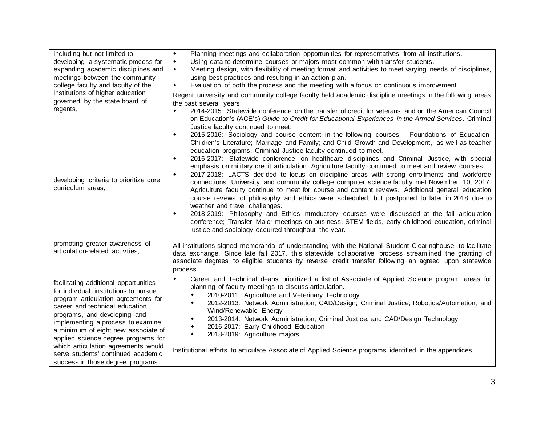| including but not limited to<br>developing a systematic process for<br>expanding academic disciplines and<br>meetings between the community<br>college faculty and faculty of the<br>institutions of higher education                                                                                                                                                                                                        | Planning meetings and collaboration opportunities for representatives from all institutions.<br>$\bullet$<br>Using data to determine courses or majors most common with transfer students.<br>٠<br>Meeting design, with flexibility of meeting format and activities to meet varying needs of disciplines,<br>$\blacklozenge$<br>using best practices and resulting in an action plan.<br>Evaluation of both the process and the meeting with a focus on continuous improvement.<br>$\blacklozenge$<br>Regent university and community college faculty held academic discipline meetings in the following areas                                                                                                                                                                                                                                                            |
|------------------------------------------------------------------------------------------------------------------------------------------------------------------------------------------------------------------------------------------------------------------------------------------------------------------------------------------------------------------------------------------------------------------------------|----------------------------------------------------------------------------------------------------------------------------------------------------------------------------------------------------------------------------------------------------------------------------------------------------------------------------------------------------------------------------------------------------------------------------------------------------------------------------------------------------------------------------------------------------------------------------------------------------------------------------------------------------------------------------------------------------------------------------------------------------------------------------------------------------------------------------------------------------------------------------|
| governed by the state board of<br>regents,                                                                                                                                                                                                                                                                                                                                                                                   | the past several years:<br>2014-2015: Statewide conference on the transfer of credit for veterans and on the American Council<br>٠<br>on Education's (ACE's) Guide to Credit for Educational Experiences in the Armed Services. Criminal<br>Justice faculty continued to meet.<br>2015-2016: Sociology and course content in the following courses - Foundations of Education;<br>٠<br>Children's Literature; Marriage and Family; and Child Growth and Development, as well as teacher<br>education programs. Criminal Justice faculty continued to meet.<br>2016-2017: Statewide conference on healthcare disciplines and Criminal Justice, with special<br>٠<br>emphasis on military credit articulation. Agriculture faculty continued to meet and review courses.<br>2017-2018: LACTS decided to focus on discipline areas with strong enrollments and workforce<br>۰ |
| developing criteria to prioritize core<br>curriculum areas,                                                                                                                                                                                                                                                                                                                                                                  | connections. University and community college computer science faculty met November 10, 2017.<br>Agriculture faculty continue to meet for course and content reviews. Additional general education<br>course reviews of philosophy and ethics were scheduled, but postponed to later in 2018 due to<br>weather and travel challenges.<br>2018-2019: Philosophy and Ethics introductory courses were discussed at the fall articulation<br>۰<br>conference; Transfer Major meetings on business, STEM fields, early childhood education, criminal<br>justice and sociology occurred throughout the year.                                                                                                                                                                                                                                                                    |
| promoting greater awareness of<br>articulation-related activities,                                                                                                                                                                                                                                                                                                                                                           | All institutions signed memoranda of understanding with the National Student Clearinghouse to facilitate<br>data exchange. Since late fall 2017, this statewide collaborative process streamlined the granting of<br>associate degrees to eligible students by reverse credit transfer following an agreed upon statewide<br>process.                                                                                                                                                                                                                                                                                                                                                                                                                                                                                                                                      |
| facilitating additional opportunities<br>for individual institutions to pursue<br>program articulation agreements for<br>career and technical education<br>programs, and developing and<br>implementing a process to examine<br>a minimum of eight new associate of<br>applied science degree programs for<br>which articulation agreements would<br>serve students' continued academic<br>success in those degree programs. | Career and Technical deans prioritized a list of Associate of Applied Science program areas for<br>٠<br>planning of faculty meetings to discuss articulation.<br>2010-2011: Agriculture and Veterinary Technology<br>٠<br>2012-2013: Network Administration; CAD/Design; Criminal Justice; Robotics/Automation; and<br>٠<br>Wind/Renewable Energy<br>2013-2014: Network Administration, Criminal Justice, and CAD/Design Technology<br>$\blacklozenge$<br>2016-2017: Early Childhood Education<br>٠<br>2018-2019: Agriculture majors<br>$\blacklozenge$<br>Institutional efforts to articulate Associate of Applied Science programs identified in the appendices.                                                                                                                                                                                                         |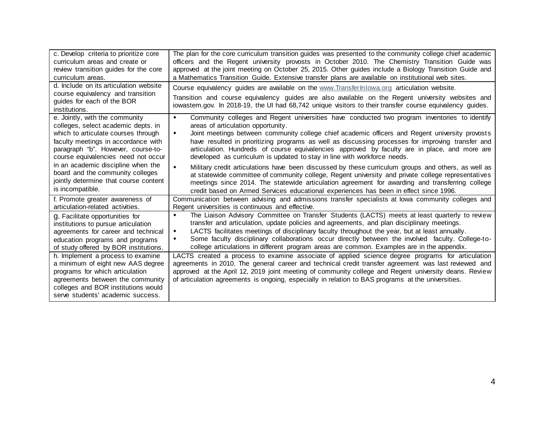| c. Develop criteria to prioritize core<br>curriculum areas and create or<br>review transition guides for the core<br>curriculum areas.<br>d. Include on its articulation website                                                 | The plan for the core curriculum transition guides was presented to the community college chief academic<br>officers and the Regent university provosts in October 2010. The Chemistry Transition Guide was<br>approved at the joint meeting on October 25, 2015. Other guides include a Biology Transition Guide and<br>a Mathematics Transition Guide. Extensive transfer plans are available on institutional web sites.                                                                                                                |  |  |  |  |
|----------------------------------------------------------------------------------------------------------------------------------------------------------------------------------------------------------------------------------|--------------------------------------------------------------------------------------------------------------------------------------------------------------------------------------------------------------------------------------------------------------------------------------------------------------------------------------------------------------------------------------------------------------------------------------------------------------------------------------------------------------------------------------------|--|--|--|--|
| course equivalency and transition                                                                                                                                                                                                | Course equivalency guides are available on the www.Transferlnlowa.org articulation website.                                                                                                                                                                                                                                                                                                                                                                                                                                                |  |  |  |  |
| guides for each of the BOR                                                                                                                                                                                                       | Transition and course equivalency guides are also available on the Regent university websites and                                                                                                                                                                                                                                                                                                                                                                                                                                          |  |  |  |  |
| institutions.                                                                                                                                                                                                                    | iowastem.gov. In 2018-19, the UI had 68,742 unique visitors to their transfer course equivalency guides.                                                                                                                                                                                                                                                                                                                                                                                                                                   |  |  |  |  |
| e. Jointly, with the community<br>colleges, select academic depts. in<br>which to articulate courses through<br>faculty meetings in accordance with<br>paragraph "b". However, course-to-<br>course equivalencies need not occur | Community colleges and Regent universities have conducted two program inventories to identify<br>$\bullet$<br>areas of articulation opportunity.<br>Joint meetings between community college chief academic officers and Regent university provosts<br>٠<br>have resulted in prioritizing programs as well as discussing processes for improving transfer and<br>articulation. Hundreds of course equivalencies approved by faculty are in place, and more are<br>developed as curriculum is updated to stay in line with workforce needs. |  |  |  |  |
| in an academic discipline when the<br>board and the community colleges<br>jointly determine that course content<br>is incompatible.                                                                                              | Military credit articulations have been discussed by these curriculum groups and others, as well as<br>$\blacklozenge$<br>at statewide committee of community college, Regent university and private college representatives<br>meetings since 2014. The statewide articulation agreement for awarding and transferring college<br>credit based on Armed Services educational experiences has been in effect since 1996.                                                                                                                   |  |  |  |  |
| f. Promote greater awareness of                                                                                                                                                                                                  | Communication between advising and admissions transfer specialists at lowa community colleges and                                                                                                                                                                                                                                                                                                                                                                                                                                          |  |  |  |  |
| articulation-related activities.                                                                                                                                                                                                 | Regent universities is continuous and effective.                                                                                                                                                                                                                                                                                                                                                                                                                                                                                           |  |  |  |  |
| g. Facilitate opportunities for                                                                                                                                                                                                  | The Liaison Advisory Committee on Transfer Students (LACTS) meets at least quarterly to review                                                                                                                                                                                                                                                                                                                                                                                                                                             |  |  |  |  |
| institutions to pursue articulation                                                                                                                                                                                              | transfer and articulation, update policies and agreements, and plan disciplinary meetings.                                                                                                                                                                                                                                                                                                                                                                                                                                                 |  |  |  |  |
| agreements for career and technical                                                                                                                                                                                              | LACTS facilitates meetings of disciplinary faculty throughout the year, but at least annually.                                                                                                                                                                                                                                                                                                                                                                                                                                             |  |  |  |  |
| education programs and programs                                                                                                                                                                                                  | $\blacklozenge$                                                                                                                                                                                                                                                                                                                                                                                                                                                                                                                            |  |  |  |  |
| of study offered by BOR institutions.                                                                                                                                                                                            | Some faculty disciplinary collaborations occur directly between the involved faculty. College-to-                                                                                                                                                                                                                                                                                                                                                                                                                                          |  |  |  |  |
| h. Implement a process to examine                                                                                                                                                                                                | ٠                                                                                                                                                                                                                                                                                                                                                                                                                                                                                                                                          |  |  |  |  |
| a minimum of eight new AAS degree                                                                                                                                                                                                | college articulations in different program areas are common. Examples are in the appendix.                                                                                                                                                                                                                                                                                                                                                                                                                                                 |  |  |  |  |
| programs for which articulation                                                                                                                                                                                                  | LACTS created a process to examine associate of applied science degree programs for articulation                                                                                                                                                                                                                                                                                                                                                                                                                                           |  |  |  |  |
| agreements between the community                                                                                                                                                                                                 | agreements in 2010. The general career and technical credit transfer agreement was last reviewed and                                                                                                                                                                                                                                                                                                                                                                                                                                       |  |  |  |  |
| colleges and BOR institutions would                                                                                                                                                                                              | approved at the April 12, 2019 joint meeting of community college and Regent university deans. Review                                                                                                                                                                                                                                                                                                                                                                                                                                      |  |  |  |  |
| serve students' academic success.                                                                                                                                                                                                | of articulation agreements is ongoing, especially in relation to BAS programs at the universities.                                                                                                                                                                                                                                                                                                                                                                                                                                         |  |  |  |  |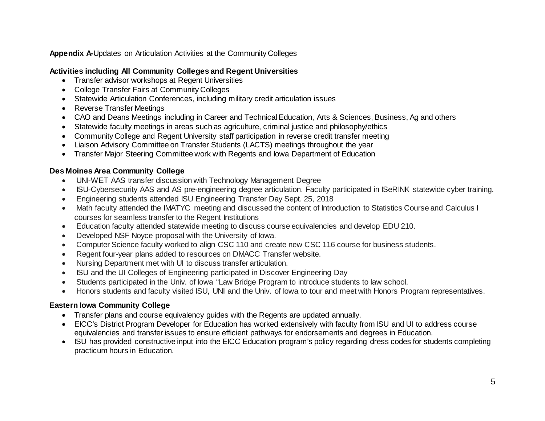**Appendix A-**Updates on Articulation Activities at the Community Colleges

# **Activities including All Community Colleges and Regent Universities**

- Transfer advisor workshops at Regent Universities
- College Transfer Fairs at Community Colleges
- Statewide Articulation Conferences, including military credit articulation issues
- Reverse Transfer Meetings
- CAO and Deans Meetings including in Career and Technical Education, Arts & Sciences, Business, Ag and others
- Statewide faculty meetings in areas such as agriculture, criminal justice and philosophy/ethics
- Community College and Regent University staff participation in reverse credit transfer meeting
- Liaison Advisory Committee on Transfer Students (LACTS) meetings throughout the year
- Transfer Major Steering Committee work with Regents and Iowa Department of Education

# **Des Moines Area Community College**

- UNI-WET AAS transfer discussion with Technology Management Degree
- ISU-Cybersecurity AAS and AS pre-engineering degree articulation. Faculty participated in ISeRINK statewide cyber training.
- Engineering students attended ISU Engineering Transfer Day Sept. 25, 2018
- Math faculty attended the IMATYC meeting and discussed the content of Introduction to Statistics Course and Calculus I courses for seamless transfer to the Regent Institutions
- Education faculty attended statewide meeting to discuss course equivalencies and develop EDU 210.
- Developed NSF Noyce proposal with the University of Iowa.
- Computer Science faculty worked to align CSC 110 and create new CSC 116 course for business students.
- Regent four-year plans added to resources on DMACC Transfer website.
- Nursing Department met with UI to discuss transfer articulation.
- ISU and the UI Colleges of Engineering participated in Discover Engineering Day
- Students participated in the Univ. of Iowa "Law Bridge Program to introduce students to law school.
- Honors students and faculty visited ISU, UNI and the Univ. of Iowa to tour and meet with Honors Program representatives.

# **Eastern Iowa Community College**

- Transfer plans and course equivalency guides with the Regents are updated annually.
- EICC's District Program Developer for Education has worked extensively with faculty from ISU and UI to address course equivalencies and transfer issues to ensure efficient pathways for endorsements and degrees in Education.
- ISU has provided constructive input into the EICC Education program's policy regarding dress codes for students completing practicum hours in Education.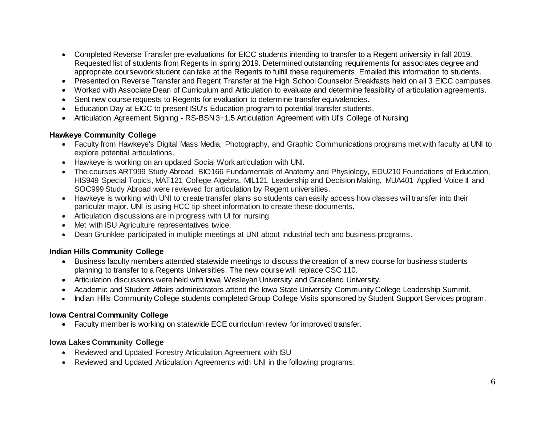- Completed Reverse Transfer pre-evaluations for EICC students intending to transfer to a Regent university in fall 2019. Requested list of students from Regents in spring 2019. Determined outstanding requirements for associates degree and appropriate coursework student can take at the Regents to fulfill these requirements. Emailed this information to students.
- Presented on Reverse Transfer and Regent Transfer at the High School Counselor Breakfasts held on all 3 EICC campuses.
- Worked with Associate Dean of Curriculum and Articulation to evaluate and determine feasibility of articulation agreements.
- Sent new course requests to Regents for evaluation to determine transfer equivalencies.
- Education Day at EICC to present ISU's Education program to potential transfer students.
- Articulation Agreement Signing RS-BSN 3+1.5 Articulation Agreement with UI's College of Nursing

#### **Hawkeye Community College**

- Faculty from Hawkeye's Digital Mass Media, Photography, and Graphic Communications programs met with faculty at UNI to explore potential articulations.
- Hawkeye is working on an updated Social Work articulation with UNI.
- The courses ART999 Study Abroad, BIO166 Fundamentals of Anatomy and Physiology, EDU210 Foundations of Education, HIS949 Special Topics, MAT121 College Algebra, MIL121 Leadership and Decision Making, MUA401 Applied Voice II and SOC999 Study Abroad were reviewed for articulation by Regent universities.
- Hawkeye is working with UNI to create transfer plans so students can easily access how classes will transfer into their particular major. UNI is using HCC tip sheet information to create these documents.
- Articulation discussions are in progress with UI for nursing.
- Met with ISU Agriculture representatives twice.
- Dean Grunklee participated in multiple meetings at UNI about industrial tech and business programs.

# **Indian Hills Community College**

- Business faculty members attended statewide meetings to discuss the creation of a new course for business students planning to transfer to a Regents Universities. The new course will replace CSC 110.
- Articulation discussions were held with Iowa Wesleyan University and Graceland University.
- Academic and Student Affairs administrators attend the Iowa State University Community College Leadership Summit.
- Indian Hills Community College students completed Group College Visits sponsored by Student Support Services program.

### **Iowa Central Community College**

• Faculty member is working on statewide ECE curriculum review for improved transfer.

### **Iowa Lakes Community College**

- Reviewed and Updated Forestry Articulation Agreement with ISU
- Reviewed and Updated Articulation Agreements with UNI in the following programs: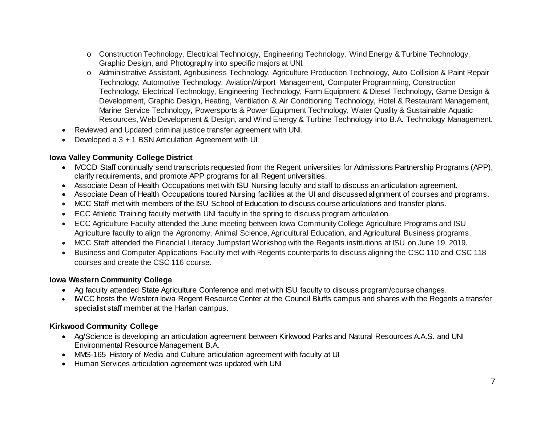- o Construction Technology, Electrical Technology, Engineering Technology, Wind Energy & Turbine Technology, Graphic Design, and Photography into specific majors at UNI.
- o Administrative Assistant, Agribusiness Technology, Agriculture Production Technology, Auto Collision & Paint Repair Technology, Automotive Technology, Aviation/Airport Management, Computer Programming, Construction Technology, Electrical Technology, Engineering Technology, Farm Equipment & Diesel Technology, Game Design & Development, Graphic Design, Heating, Ventilation & Air Conditioning Technology, Hotel & Restaurant Management, Marine Service Technology, Powersports & Power Equipment Technology, Water Quality & Sustainable Aquatic Resources, Web Development & Design, and Wind Energy & Turbine Technology into B.A. Technology Management.
- Reviewed and Updated criminal justice transfer agreement with UNI.
- Developed a 3 + 1 BSN Articulation Agreement with UI.

## **Iowa Valley Community College District**

- IVCCD Staff continually send transcripts requested from the Regent universities for Admissions Partnership Programs (APP), clarify requirements, and promote APP programs for all Regent universities.
- Associate Dean of Health Occupations met with ISU Nursing faculty and staff to discuss an articulation agreement.
- Associate Dean of Health Occupations toured Nursing facilities at the UI and discussed alignment of courses and programs.
- MCC Staff met with members of the ISU School of Education to discuss course articulations and transfer plans.
- ECC Athletic Training faculty met with UNI faculty in the spring to discuss program articulation.
- ECC Agriculture Faculty attended the June meeting between Iowa Community College Agriculture Programs and ISU Agriculture faculty to align the Agronomy, Animal Science, Agricultural Education, and Agricultural Business programs.
- MCC Staff attended the Financial Literacy Jumpstart Workshop with the Regents institutions at ISU on June 19, 2019.
- Business and Computer Applications Faculty met with Regents counterparts to discuss aligning the CSC 110 and CSC 118 courses and create the CSC 116 course.

### **Iowa Western Community College**

- Ag faculty attended State Agriculture Conference and met with ISU faculty to discuss program/course changes.
- IWCC hosts the Western Iowa Regent Resource Center at the Council Bluffs campus and shares with the Regents a transfer specialist staff member at the Harlan campus.

### **Kirkwood Community College**

- Ag/Science is developing an articulation agreement between Kirkwood Parks and Natural Resources A.A.S. and UNI Environmental Resource Management B.A.
- MMS-165 History of Media and Culture articulation agreement with faculty at UI
- Human Services articulation agreement was updated with UNI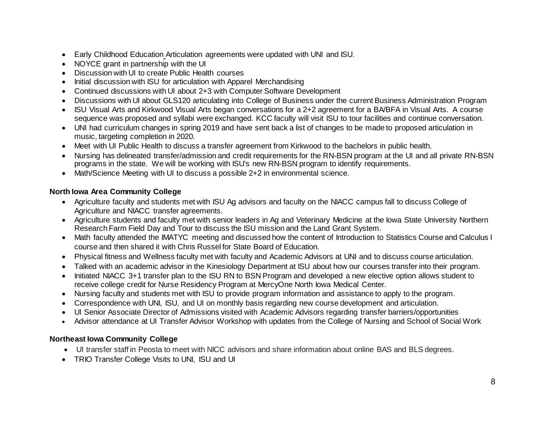- Early Childhood Education Articulation agreements were updated with UNI and ISU.
- NOYCE grant in partnership with the UI
- Discussion with UI to create Public Health courses
- Initial discussion with ISU for articulation with Apparel Merchandising
- Continued discussions with UI about 2+3 with Computer Software Development
- Discussions with UI about GLS120 articulating into College of Business under the current Business Administration Program
- ISU Visual Arts and Kirkwood Visual Arts began conversations for a 2+2 agreement for a BA/BFA in Visual Arts. A course sequence was proposed and syllabi were exchanged. KCC faculty will visit ISU to tour facilities and continue conversation.
- UNI had curriculum changes in spring 2019 and have sent back a list of changes to be made to proposed articulation in music, targeting completion in 2020.
- Meet with UI Public Health to discuss a transfer agreement from Kirkwood to the bachelors in public health.
- Nursing has delineated transfer/admission and credit requirements for the RN-BSN program at the UI and all private RN-BSN programs in the state. We will be working with ISU's new RN-BSN program to identify requirements.
- Math/Science Meeting with UI to discuss a possible 2+2 in environmental science.

#### **North Iowa Area Community College**

- Agriculture faculty and students met with ISU Ag advisors and faculty on the NIACC campus fall to discuss College of Agriculture and NIACC transfer agreements.
- Agriculture students and faculty met with senior leaders in Ag and Veterinary Medicine at the Iowa State University Northern Research Farm Field Day and Tour to discuss the ISU mission and the Land Grant System.
- Math faculty attended the IMATYC meeting and discussed how the content of Introduction to Statistics Course and Calculus I course and then shared it with Chris Russel for State Board of Education.
- Physical fitness and Wellness faculty met with faculty and Academic Advisors at UNI and to discuss course articulation.
- Talked with an academic advisor in the Kinesiology Department at ISU about how our courses transfer into their program.
- Initiated NIACC 3+1 transfer plan to the ISU RN to BSN Program and developed a new elective option allows student to receive college credit for Nurse Residency Program at MercyOne North Iowa Medical Center.
- Nursing faculty and students met with ISU to provide program information and assistance to apply to the program.
- Correspondence with UNI, ISU, and UI on monthly basis regarding new course development and articulation.
- UI Senior Associate Director of Admissions visited with Academic Advisors regarding transfer barriers/opportunities
- Advisor attendance at UI Transfer Advisor Workshop with updates from the College of Nursing and School of Social Work

### **Northeast Iowa Community College**

- UI transfer staff in Peosta to meet with NICC advisors and share information about online BAS and BLS degrees.
- TRIO Transfer College Visits to UNI, ISU and UI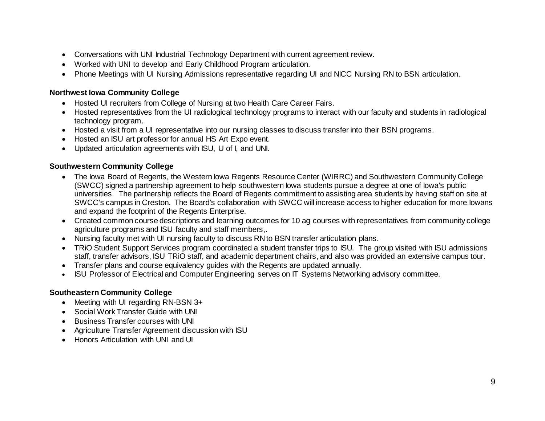- Conversations with UNI Industrial Technology Department with current agreement review.
- Worked with UNI to develop and Early Childhood Program articulation.
- Phone Meetings with UI Nursing Admissions representative regarding UI and NICC Nursing RN to BSN articulation.

# **Northwest Iowa Community College**

- Hosted UI recruiters from College of Nursing at two Health Care Career Fairs.
- Hosted representatives from the UI radiological technology programs to interact with our faculty and students in radiological technology program.
- Hosted a visit from a UI representative into our nursing classes to discuss transfer into their BSN programs.
- Hosted an ISU art professor for annual HS Art Expo event.
- Updated articulation agreements with ISU, U of I, and UNI.

### **Southwestern Community College**

- The Iowa Board of Regents, the Western Iowa Regents Resource Center (WIRRC) and Southwestern Community College (SWCC) signed a partnership agreement to help southwestern Iowa students pursue a degree at one of Iowa's public universities. The partnership reflects the Board of Regents commitment to assisting area students by having staff on site at SWCC's campus in Creston. The Board's collaboration with SWCC will increase access to higher education for more Iowans and expand the footprint of the Regents Enterprise.
- Created common course descriptions and learning outcomes for 10 ag courses with representatives from community college agriculture programs and ISU faculty and staff members,.
- Nursing faculty met with UI nursing faculty to discuss RN to BSN transfer articulation plans.
- TRiO Student Support Services program coordinated a student transfer trips to ISU. The group visited with ISU admissions staff, transfer advisors, ISU TRiO staff, and academic department chairs, and also was provided an extensive campus tour.
- Transfer plans and course equivalency guides with the Regents are updated annually.
- ISU Professor of Electrical and Computer Engineering serves on IT Systems Networking advisory committee.

### **Southeastern Community College**

- Meeting with UI regarding RN-BSN 3+
- Social Work Transfer Guide with UNI
- Business Transfer courses with UNI
- Agriculture Transfer Agreement discussion with ISU
- Honors Articulation with UNI and UI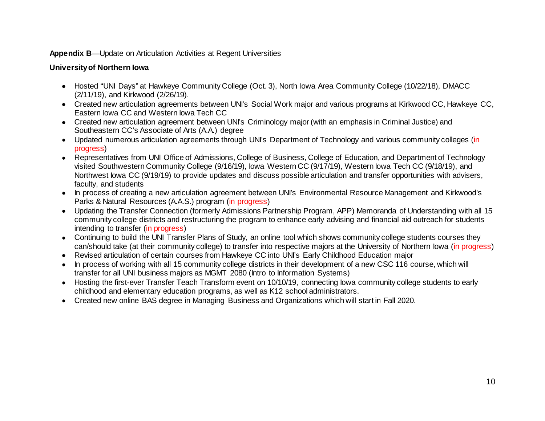#### **Appendix B**—Update on Articulation Activities at Regent Universities

# **University of Northern Iowa**

- Hosted "UNI Days" at Hawkeye Community College (Oct. 3), North Iowa Area Community College (10/22/18), DMACC (2/11/19), and Kirkwood (2/26/19).
- Created new articulation agreements between UNI's Social Work major and various programs at Kirkwood CC, Hawkeye CC, Eastern Iowa CC and Western Iowa Tech CC
- Created new articulation agreement between UNI's Criminology major (with an emphasis in Criminal Justice) and Southeastern CC's Associate of Arts (A.A.) degree
- Updated numerous articulation agreements through UNI's Department of Technology and various community colleges (in progress)
- Representatives from UNI Office of Admissions, College of Business, College of Education, and Department of Technology visited Southwestern Community College (9/16/19), Iowa Western CC (9/17/19), Western Iowa Tech CC (9/18/19), and Northwest Iowa CC (9/19/19) to provide updates and discuss possible articulation and transfer opportunities with advisers, faculty, and students
- In process of creating a new articulation agreement between UNI's Environmental Resource Management and Kirkwood's Parks & Natural Resources (A.A.S.) program (in progress)
- Updating the Transfer Connection (formerly Admissions Partnership Program, APP) Memoranda of Understanding with all 15 community college districts and restructuring the program to enhance early advising and financial aid outreach for students intending to transfer (in progress)
- Continuing to build the UNI Transfer Plans of Study, an online tool which shows community college students courses they can/should take (at their community college) to transfer into respective majors at the University of Northern Iowa (in progress)
- Revised articulation of certain courses from Hawkeye CC into UNI's Early Childhood Education major
- In process of working with all 15 community college districts in their development of a new CSC 116 course, which will transfer for all UNI business majors as MGMT 2080 (Intro to Information Systems)
- Hosting the first-ever Transfer Teach Transform event on 10/10/19, connecting Iowa community college students to early childhood and elementary education programs, as well as K12 school administrators.
- Created new online BAS degree in Managing Business and Organizations which will start in Fall 2020.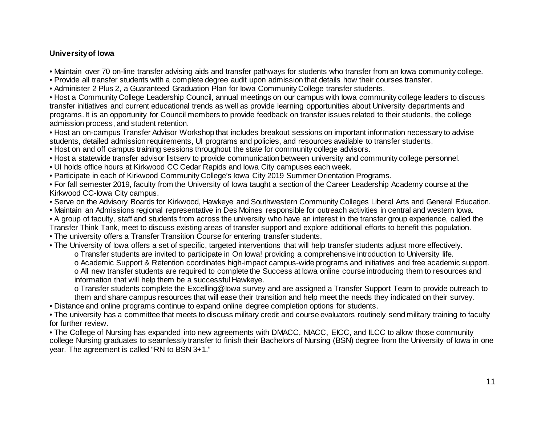## **University of Iowa**

• Maintain over 70 on-line transfer advising aids and transfer pathways for students who transfer from an Iowa community college.

- Provide all transfer students with a complete degree audit upon admission that details how their courses transfer.
- Administer 2 Plus 2, a Guaranteed Graduation Plan for Iowa Community College transfer students.

• Host a Community College Leadership Council, annual meetings on our campus with Iowa community college leaders to discuss transfer initiatives and current educational trends as well as provide learning opportunities about University departments and programs. It is an opportunity for Council members to provide feedback on transfer issues related to their students, the college admission process, and student retention.

• Host an on-campus Transfer Advisor Workshop that includes breakout sessions on important information necessary to advise students, detailed admission requirements, UI programs and policies, and resources available to transfer students.

- Host on and off campus training sessions throughout the state for community college advisors.
- Host a statewide transfer advisor listserv to provide communication between university and community college personnel.
- UI holds office hours at Kirkwood CC Cedar Rapids and Iowa City campuses each week.
- Participate in each of Kirkwood Community College's Iowa City 2019 Summer Orientation Programs.

• For fall semester 2019, faculty from the University of Iowa taught a section of the Career Leadership Academy course at the Kirkwood CC-Iowa City campus.

- Serve on the Advisory Boards for Kirkwood, Hawkeye and Southwestern Community Colleges Liberal Arts and General Education.
- Maintain an Admissions regional representative in Des Moines responsible for outreach activities in central and western Iowa.
- A group of faculty, staff and students from across the university who have an interest in the transfer group experience, called the Transfer Think Tank, meet to discuss existing areas of transfer support and explore additional efforts to benefit this population.
- The university offers a Transfer Transition Course for entering transfer students.

• The University of Iowa offers a set of specific, targeted interventions that will help transfer students adjust more effectively. o Transfer students are invited to participate in On Iowa! providing a comprehensive introduction to University life.

o Academic Support & Retention coordinates high-impact campus-wide programs and initiatives and free academic support. o All new transfer students are required to complete the Success at Iowa online course introducing them to resources and information that will help them be a successful Hawkeye.

o Transfer students complete the Excelling@Iowa survey and are assigned a Transfer Support Team to provide outreach to them and share campus resources that will ease their transition and help meet the needs they indicated on their survey.

- Distance and online programs continue to expand online degree completion options for students.
- The university has a committee that meets to discuss military credit and course evaluators routinely send military training to faculty for further review.

• The College of Nursing has expanded into new agreements with DMACC, NIACC, EICC, and ILCC to allow those community college Nursing graduates to seamlessly transfer to finish their Bachelors of Nursing (BSN) degree from the University of Iowa in one year. The agreement is called "RN to BSN 3+1."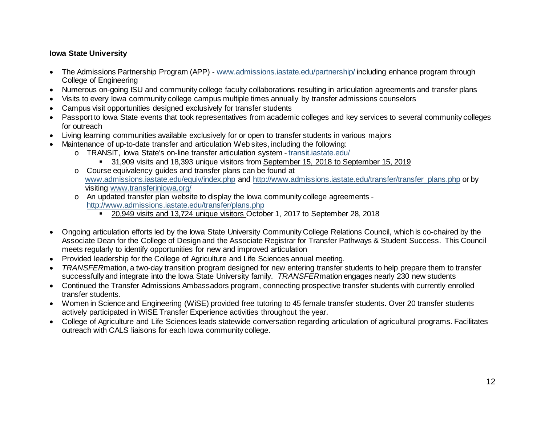## **Iowa State University**

- The Admissions Partnership Program (APP) www.admissions.iastate.edu/partnership/ including enhance program through College of Engineering
- Numerous on-going ISU and community college faculty collaborations resulting in articulation agreements and transfer plans
- Visits to every Iowa community college campus multiple times annually by transfer admissions counselors
- Campus visit opportunities designed exclusively for transfer students
- Passport to Iowa State events that took representatives from academic colleges and key services to several community colleges for outreach
- Living learning communities available exclusively for or open to transfer students in various majors
- Maintenance of up-to-date transfer and articulation Web sites, including the following:
	- o TRANSIT, Iowa State's on-line transfer articulation system [transit.iastate.edu/](https://transit.iastate.edu/)
		- 31,909 visits and 18,393 unique visitors from September 15, 2018 to September 15, 2019
	- o Course equivalency guides and transfer plans can be found at [www.admissions.iastate.edu/equiv/index.php](http://www.admissions.iastate.edu/equiv/index.php) and [http://www.admissions.iastate.edu/transfer/transfer\\_plans.php](http://www.admissions.iastate.edu/transfer/transfer_plans.php) or by visiting [www.transferiniowa.org/](http://www.transferiniowa.org/)
	- o An updated transfer plan website to display the Iowa community college agreements <http://www.admissions.iastate.edu/transfer/plans.php>
		- 20,949 visits and 13,724 unique visitors October 1, 2017 to September 28, 2018
- Ongoing articulation efforts led by the Iowa State University Community College Relations Council, which is co-chaired by the Associate Dean for the College of Design and the Associate Registrar for Transfer Pathways & Student Success. This Council meets regularly to identify opportunities for new and improved articulation
- Provided leadership for the College of Agriculture and Life Sciences annual meeting.
- *TRANSFER*mation, a two-day transition program designed for new entering transfer students to help prepare them to transfer successfully and integrate into the Iowa State University family. *TRANSFER*mation engages nearly 230 new students
- Continued the Transfer Admissions Ambassadors program, connecting prospective transfer students with currently enrolled transfer students.
- Women in Science and Engineering (WiSE) provided free tutoring to 45 female transfer students. Over 20 transfer students actively participated in WiSE Transfer Experience activities throughout the year.
- College of Agriculture and Life Sciences leads statewide conversation regarding articulation of agricultural programs. Facilitates outreach with CALS liaisons for each Iowa community college.